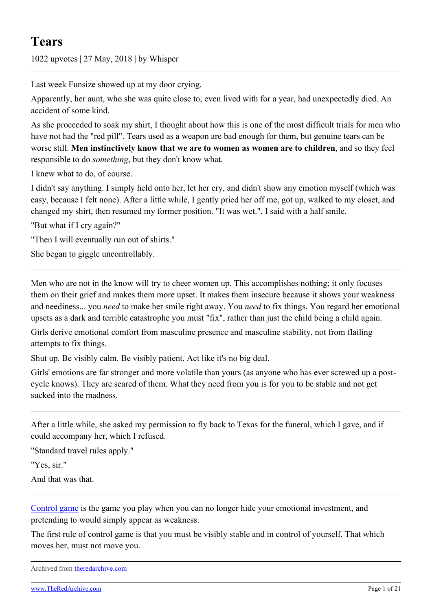1022 upvotes | 27 May, 2018 | by Whisper

Last week Funsize showed up at my door crying.

Apparently, her aunt, who she was quite close to, even lived with for a year, had unexpectedly died. An accident of some kind.

As she proceeded to soak my shirt, I thought about how this is one of the most difficult trials for men who have not had the "red pill". Tears used as a weapon are bad enough for them, but genuine tears can be worse still. **Men instinctively know that we are to women as women are to children**, and so they feel responsible to do *something*, but they don't know what.

I knew what to do, of course.

I didn't say anything. I simply held onto her, let her cry, and didn't show any emotion myself (which was easy, because I felt none). After a little while, I gently pried her off me, got up, walked to my closet, and changed my shirt, then resumed my former position. "It was wet.", I said with a half smile.

"But what if I cry again?"

"Then I will eventually run out of shirts."

She began to giggle uncontrollably.

Men who are not in the know will try to cheer women up. This accomplishes nothing; it only focuses them on their grief and makes them more upset. It makes them insecure because it shows your weakness and neediness... you *need* to make her smile right away. You *need* to fix things. You regard her emotional upsets as a dark and terrible catastrophe you must "fix", rather than just the child being a child again.

Girls derive emotional comfort from masculine presence and masculine stability, not from flailing attempts to fix things.

Shut up. Be visibly calm. Be visibly patient. Act like it's no big deal.

Girls' emotions are far stronger and more volatile than yours (as anyone who has ever screwed up a postcycle knows). They are scared of them. What they need from you is for you to be stable and not get sucked into the madness.

After a little while, she asked my permission to fly back to Texas for the funeral, which I gave, and if could accompany her, which I refused.

"Standard travel rules apply."

"Yes, sir."

And that was that.

[Control game](https://www.reddit.com/r/TheRedPill/comments/83ah8u/ltr_the_bare_minimum_you_need_to_know/) is the game you play when you can no longer hide your emotional investment, and pretending to would simply appear as weakness.

The first rule of control game is that you must be visibly stable and in control of yourself. That which moves her, must not move you.

```
Archived from theredarchive.com
```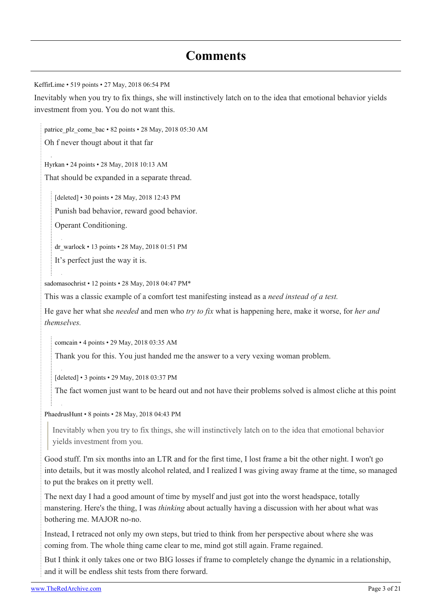# **Comments**

[KeffirLime](https://old.reddit.com/user/KeffirLime) • 519 points • 27 May, 2018 06:54 PM

Inevitably when you try to fix things, she will instinctively latch on to the idea that emotional behavior yields investment from you. You do not want this.

[patrice\\_plz\\_come\\_bac](https://old.reddit.com/user/patrice_plz_come_bac) • 82 points • 28 May, 2018 05:30 AM

Oh f never thougt about it that far

[Hyrkan](https://old.reddit.com/user/Hyrkan) • 24 points • 28 May, 2018 10:13 AM

That should be expanded in a separate thread.

[deleted] • 30 points • 28 May, 2018 12:43 PM Punish bad behavior, reward good behavior.

Operant Conditioning.

[dr\\_warlock](https://old.reddit.com/user/dr_warlock) • 13 points • 28 May, 2018 01:51 PM

It's perfect just the way it is.

[sadomasochrist](https://old.reddit.com/user/sadomasochrist) • 12 points • 28 May, 2018 04:47 PM\*

This was a classic example of a comfort test manifesting instead as a *need instead of a test.*

He gave her what she *needed* and men who *try to fix* what is happening here, make it worse, for *her and themselves.*

[comcain](https://old.reddit.com/user/comcain) • 4 points • 29 May, 2018 03:35 AM

Thank you for this. You just handed me the answer to a very vexing woman problem.

[deleted] • 3 points • 29 May, 2018 03:37 PM

The fact women just want to be heard out and not have their problems solved is almost cliche at this point

[PhaedrusHunt](https://old.reddit.com/user/PhaedrusHunt) • 8 points • 28 May, 2018 04:43 PM

Inevitably when you try to fix things, she will instinctively latch on to the idea that emotional behavior yields investment from you.

Good stuff. I'm six months into an LTR and for the first time, I lost frame a bit the other night. I won't go into details, but it was mostly alcohol related, and I realized I was giving away frame at the time, so managed to put the brakes on it pretty well.

The next day I had a good amount of time by myself and just got into the worst headspace, totally manstering. Here's the thing, I was *thinking* about actually having a discussion with her about what was bothering me. MAJOR no-no.

Instead, I retraced not only my own steps, but tried to think from her perspective about where she was coming from. The whole thing came clear to me, mind got still again. Frame regained.

But I think it only takes one or two BIG losses if frame to completely change the dynamic in a relationship, and it will be endless shit tests from there forward.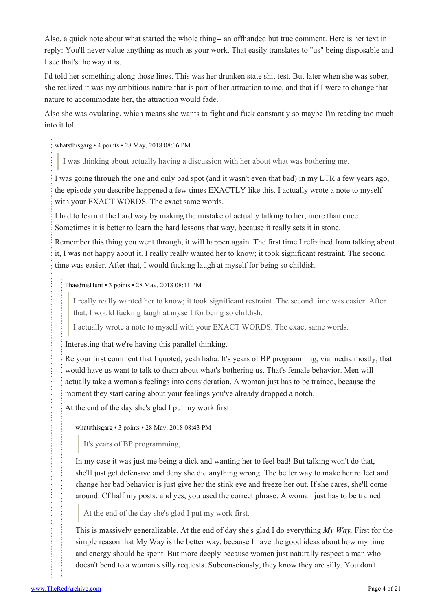Also, a quick note about what started the whole thing-- an offhanded but true comment. Here is her text in reply: You'll never value anything as much as your work. That easily translates to "us" being disposable and I see that's the way it is.

I'd told her something along those lines. This was her drunken state shit test. But later when she was sober, she realized it was my ambitious nature that is part of her attraction to me, and that if I were to change that nature to accommodate her, the attraction would fade.

Also she was ovulating, which means she wants to fight and fuck constantly so maybe I'm reading too much into it lol

[whatsthisgarg](https://old.reddit.com/user/whatsthisgarg) • 4 points • 28 May, 2018 08:06 PM

I was thinking about actually having a discussion with her about what was bothering me.

I was going through the one and only bad spot (and it wasn't even that bad) in my LTR a few years ago, the episode you describe happened a few times EXACTLY like this. I actually wrote a note to myself with your EXACT WORDS. The exact same words.

I had to learn it the hard way by making the mistake of actually talking to her, more than once. Sometimes it is better to learn the hard lessons that way, because it really sets it in stone.

Remember this thing you went through, it will happen again. The first time I refrained from talking about it, I was not happy about it. I really really wanted her to know; it took significant restraint. The second time was easier. After that, I would fucking laugh at myself for being so childish.

# [PhaedrusHunt](https://old.reddit.com/user/PhaedrusHunt) • 3 points • 28 May, 2018 08:11 PM

I really really wanted her to know; it took significant restraint. The second time was easier. After that, I would fucking laugh at myself for being so childish.

I actually wrote a note to myself with your EXACT WORDS. The exact same words.

Interesting that we're having this parallel thinking.

Re your first comment that I quoted, yeah haha. It's years of BP programming, via media mostly, that would have us want to talk to them about what's bothering us. That's female behavior. Men will actually take a woman's feelings into consideration. A woman just has to be trained, because the moment they start caring about your feelings you've already dropped a notch.

At the end of the day she's glad I put my work first.

[whatsthisgarg](https://old.reddit.com/user/whatsthisgarg) • 3 points • 28 May, 2018 08:43 PM

It's years of BP programming,

In my case it was just me being a dick and wanting her to feel bad! But talking won't do that, she'll just get defensive and deny she did anything wrong. The better way to make her reflect and change her bad behavior is just give her the stink eye and freeze her out. If she cares, she'll come around. Cf half my posts; and yes, you used the correct phrase: A woman just has to be trained

At the end of the day she's glad I put my work first.

This is massively generalizable. At the end of day she's glad I do everything *My Way.* First for the simple reason that My Way is the better way, because I have the good ideas about how my time and energy should be spent. But more deeply because women just naturally respect a man who doesn't bend to a woman's silly requests. Subconsciously, they know they are silly. You don't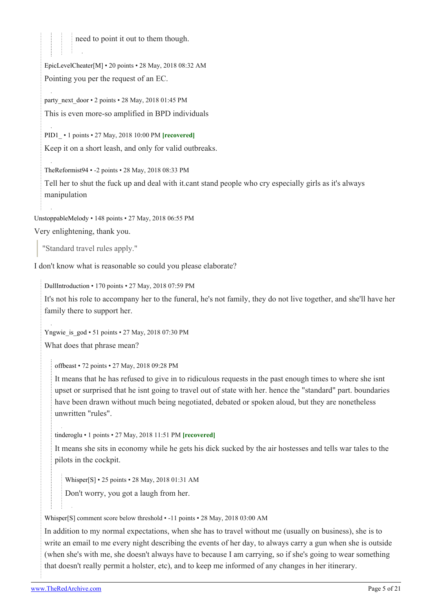need to point it out to them though.

[EpicLevelCheater](https://old.reddit.com/user/EpicLevelCheater)[\[M](https://theredarchive.com/r/TheRedPill/about/moderators)] • 20 points • 28 May, 2018 08:32 AM Pointing you per the request of an EC.

[party\\_next\\_door](https://old.reddit.com/user/party_next_door)  $\cdot$  2 points  $\cdot$  28 May, 2018 01:45 PM This is even more-so amplified in BPD individuals

[PID1\\_](https://old.reddit.com/user/PID1_) • 1 points • 27 May, 2018 10:00 PM **[recovered]** Keep it on a short leash, and only for valid outbreaks.

[TheReformist94](https://old.reddit.com/user/TheReformist94) • -2 points • 28 May, 2018 08:33 PM

Tell her to shut the fuck up and deal with it.cant stand people who cry especially girls as it's always manipulation

[UnstoppableMelody](https://old.reddit.com/user/UnstoppableMelody) • 148 points • 27 May, 2018 06:55 PM

Very enlightening, thank you.

"Standard travel rules apply."

I don't know what is reasonable so could you please elaborate?

[DullIntroduction](https://old.reddit.com/user/DullIntroduction) • 170 points • 27 May, 2018 07:59 PM

It's not his role to accompany her to the funeral, he's not family, they do not live together, and she'll have her family there to support her.

Yngwie is god • 51 points • 27 May, 2018 07:30 PM What does that phrase mean?

[offbeast](https://old.reddit.com/user/offbeast) • 72 points • 27 May, 2018 09:28 PM

It means that he has refused to give in to ridiculous requests in the past enough times to where she isnt upset or surprised that he isnt going to travel out of state with her. hence the "standard" part. boundaries have been drawn without much being negotiated, debated or spoken aloud, but they are nonetheless unwritten "rules".

[tinderoglu](https://old.reddit.com/user/tinderoglu) • 1 points • 27 May, 2018 11:51 PM **[recovered]**

It means she sits in economy while he gets his dick sucked by the air hostesses and tells war tales to the pilots in the cockpit.

[Whisper](https://old.reddit.com/user/Whisper)[\[S](https://theredarchive.com/r/TheRedPill/comments/8mjrkx/tears/)] • 25 points • 28 May, 2018 01:31 AM Don't worry, you got a laugh from her.

[Whisper\[](https://old.reddit.com/user/Whisper)[S\]](https://theredarchive.com/r/TheRedPill/comments/8mjrkx/tears/) comment score below threshold • -11 points • 28 May, 2018 03:00 AM

In addition to my normal expectations, when she has to travel without me (usually on business), she is to write an email to me every night describing the events of her day, to always carry a gun when she is outside (when she's with me, she doesn't always have to because I am carrying, so if she's going to wear something that doesn't really permit a holster, etc), and to keep me informed of any changes in her itinerary.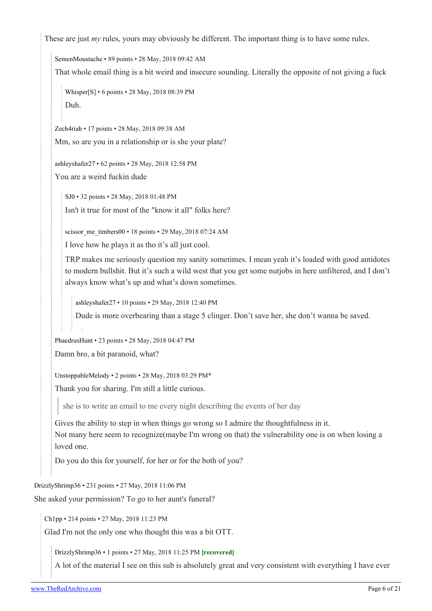These are just *my* rules, yours may obviously be different. The important thing is to have some rules.

[SemenMoustache](https://old.reddit.com/user/SemenMoustache) • 89 points • 28 May, 2018 09:42 AM

That whole email thing is a bit weird and insecure sounding. Literally the opposite of not giving a fuck

```
Whisper[S] • 6 points • 28 May, 2018 08:39 PM
Duh.
```
[Zech4riah](https://old.reddit.com/user/Zech4riah) • 17 points • 28 May, 2018 09:38 AM Mm, so are you in a relationship or is she your plate?

[ashleyshafer27](https://old.reddit.com/user/ashleyshafer27) • 62 points • 28 May, 2018 12:58 PM

You are a weird fuckin dude

[SJ0](https://old.reddit.com/user/SJ0) • 32 points • 28 May, 2018 01:48 PM Isn't it true for most of the "know it all" folks here?

[scissor\\_me\\_timbers00](https://old.reddit.com/user/scissor_me_timbers00) • 18 points • 29 May, 2018 07:24 AM

I love how he plays it as tho it's all just cool.

TRP makes me seriously question my sanity sometimes. I mean yeah it's loaded with good antidotes to modern bullshit. But it's such a wild west that you get some nutjobs in here unfiltered, and I don't always know what's up and what's down sometimes.

[ashleyshafer27](https://old.reddit.com/user/ashleyshafer27) • 10 points • 29 May, 2018 12:40 PM

Dude is more overbearing than a stage 5 clinger. Don't save her, she don't wanna be saved.

[PhaedrusHunt](https://old.reddit.com/user/PhaedrusHunt) • 23 points • 28 May, 2018 04:47 PM

Damn bro, a bit paranoid, what?

[UnstoppableMelody](https://old.reddit.com/user/UnstoppableMelody) • 2 points • 28 May, 2018 03:29 PM\*

Thank you for sharing. I'm still a little curious.

she is to write an email to me every night describing the events of her day

Gives the ability to step in when things go wrong so I admire the thoughtfulness in it. Not many here seem to recognize(maybe I'm wrong on that) the vulnerability one is on when losing a loved one.

Do you do this for yourself, for her or for the both of you?

[DrizzlyShrimp36](https://old.reddit.com/user/DrizzlyShrimp36) • 231 points • 27 May, 2018 11:06 PM

She asked your permission? To go to her aunt's funeral?

[Ch1pp](https://old.reddit.com/user/Ch1pp) • 214 points • 27 May, 2018 11:23 PM

Glad I'm not the only one who thought this was a bit OTT.

[DrizzlyShrimp36](https://old.reddit.com/user/DrizzlyShrimp36) • 1 points • 27 May, 2018 11:25 PM **[recovered]**

A lot of the material I see on this sub is absolutely great and very consistent with everything I have ever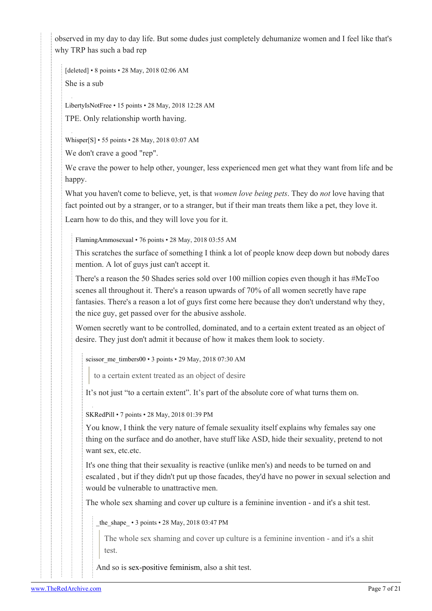observed in my day to day life. But some dudes just completely dehumanize women and I feel like that's why TRP has such a bad rep

[deleted] • 8 points • 28 May, 2018 02:06 AM She is a sub

[LibertyIsNotFree](https://old.reddit.com/user/LibertyIsNotFree) • 15 points • 28 May, 2018 12:28 AM

TPE. Only relationship worth having.

[Whisper](https://old.reddit.com/user/Whisper)[\[S](https://theredarchive.com/r/TheRedPill/comments/8mjrkx/tears/)] • 55 points • 28 May, 2018 03:07 AM

We don't crave a good "rep".

We crave the power to help other, younger, less experienced men get what they want from life and be happy.

What you haven't come to believe, yet, is that *women love being pets*. They do *not* love having that fact pointed out by a stranger, or to a stranger, but if their man treats them like a pet, they love it.

Learn how to do this, and they will love you for it.

[FlamingAmmosexual](https://old.reddit.com/user/FlamingAmmosexual) • 76 points • 28 May, 2018 03:55 AM

This scratches the surface of something I think a lot of people know deep down but nobody dares mention. A lot of guys just can't accept it.

There's a reason the 50 Shades series sold over 100 million copies even though it has #MeToo scenes all throughout it. There's a reason upwards of 70% of all women secretly have rape fantasies. There's a reason a lot of guys first come here because they don't understand why they, the nice guy, get passed over for the abusive asshole.

Women secretly want to be controlled, dominated, and to a certain extent treated as an object of desire. They just don't admit it because of how it makes them look to society.

[scissor\\_me\\_timbers00](https://old.reddit.com/user/scissor_me_timbers00) • 3 points • 29 May, 2018 07:30 AM

to a certain extent treated as an object of desire

It's not just "to a certain extent". It's part of the absolute core of what turns them on.

[SKRedPill](https://old.reddit.com/user/SKRedPill) • 7 points • 28 May, 2018 01:39 PM

You know, I think the very nature of female sexuality itself explains why females say one thing on the surface and do another, have stuff like ASD, hide their sexuality, pretend to not want sex, etc.etc.

It's one thing that their sexuality is reactive (unlike men's) and needs to be turned on and escalated , but if they didn't put up those facades, they'd have no power in sexual selection and would be vulnerable to unattractive men.

The whole sex shaming and cover up culture is a feminine invention - and it's a shit test.

the shape • 3 points • 28 May, 2018 03:47 PM

The whole sex shaming and cover up culture is a feminine invention - and it's a shit test.

And so is [sex-positive feminism,](https://en.wikipedia.org/wiki/Sex-positive_feminism) also a shit test.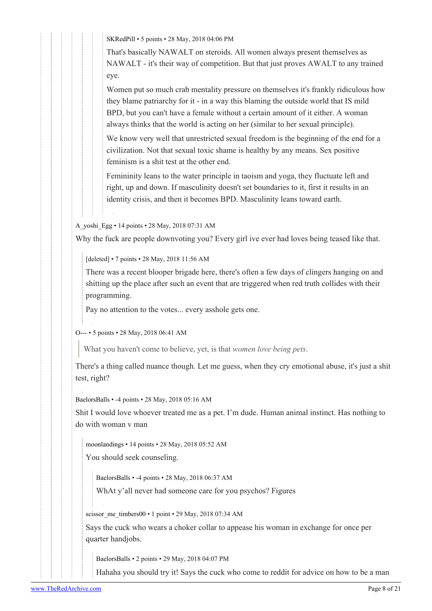[SKRedPill](https://old.reddit.com/user/SKRedPill) • 5 points • 28 May, 2018 04:06 PM

That's basically NAWALT on steroids. All women always present themselves as NAWALT - it's their way of competition. But that just proves AWALT to any trained eye.

Women put so much crab mentality pressure on themselves it's frankly ridiculous how they blame patriarchy for it - in a way this blaming the outside world that IS mild BPD, but you can't have a female without a certain amount of it either. A woman always thinks that the world is acting on her (similar to her sexual principle).

We know very well that unrestricted sexual freedom is the beginning of the end for a civilization. Not that sexual toxic shame is healthy by any means. Sex positive feminism is a shit test at the other end.

Femininity leans to the water principle in taoism and yoga, they fluctuate left and right, up and down. If masculinity doesn't set boundaries to it, first it results in an identity crisis, and then it becomes BPD. Masculinity leans toward earth.

[A\\_yoshi\\_Egg](https://old.reddit.com/user/A_yoshi_Egg) • 14 points • 28 May, 2018 07:31 AM

Why the fuck are people downvoting you? Every girl ive ever had loves being teased like that.

[deleted] • 7 points • 28 May, 2018 11:56 AM

There was a recent blooper brigade here, there's often a few days of clingers hanging on and shitting up the place after such an event that are triggered when red truth collides with their programming.

Pay no attention to the votes... every asshole gets one.

[O---](https://old.reddit.com/user/O---) • 5 points • 28 May, 2018 06:41 AM

What you haven't come to believe, yet, is that *women love being pets*.

There's a thing called nuance though. Let me guess, when they cry emotional abuse, it's just a shit test, right?

[BaelorsBalls](https://old.reddit.com/user/BaelorsBalls) • -4 points • 28 May, 2018 05:16 AM

Shit I would love whoever treated me as a pet. I'm dude. Human animal instinct. Has nothing to do with woman v man

[moonlandings](https://old.reddit.com/user/moonlandings) • 14 points • 28 May, 2018 05:52 AM

You should seek counseling.

[BaelorsBalls](https://old.reddit.com/user/BaelorsBalls) • -4 points • 28 May, 2018 06:37 AM

WhAt y'all never had someone care for you psychos? Figures

[scissor\\_me\\_timbers00](https://old.reddit.com/user/scissor_me_timbers00) • 1 point • 29 May, 2018 07:34 AM

Says the cuck who wears a choker collar to appease his woman in exchange for once per quarter handjobs.

[BaelorsBalls](https://old.reddit.com/user/BaelorsBalls) • 2 points • 29 May, 2018 04:07 PM

Hahaha you should try it! Says the cuck who come to reddit for advice on how to be a man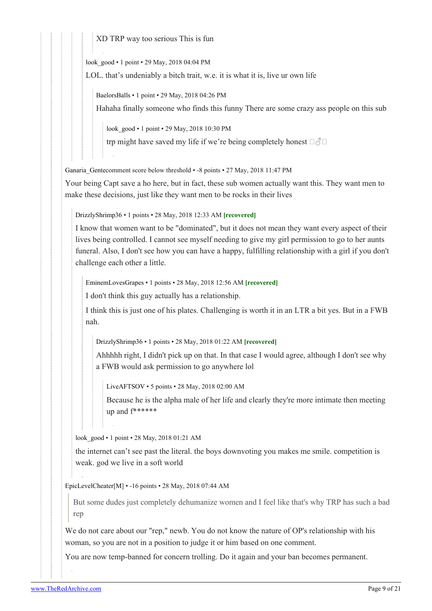XD TRP way too serious This is fun

[look\\_good](https://old.reddit.com/user/look_good) • 1 point • 29 May, 2018 04:04 PM

LOL. that's undeniably a bitch trait, w.e. it is what it is, live ur own life

[BaelorsBalls](https://old.reddit.com/user/BaelorsBalls) • 1 point • 29 May, 2018 04:26 PM

Hahaha finally someone who finds this funny There are some crazy ass people on this sub

[look\\_good](https://old.reddit.com/user/look_good) • 1 point • 29 May, 2018 10:30 PM

trp might have saved my life if we're being completely honest  $\Box \Diamond \Box$ 

[Ganaria\\_Gentec](https://old.reddit.com/user/Ganaria_Gente)omment score below threshold • -8 points • 27 May, 2018 11:47 PM

Your being Capt save a ho here, but in fact, these sub women actually want this. They want men to make these decisions, just like they want men to be rocks in their lives

[DrizzlyShrimp36](https://old.reddit.com/user/DrizzlyShrimp36) • 1 points • 28 May, 2018 12:33 AM **[recovered]**

I know that women want to be "dominated", but it does not mean they want every aspect of their lives being controlled. I cannot see myself needing to give my girl permission to go to her aunts funeral. Also, I don't see how you can have a happy, fulfilling relationship with a girl if you don't challenge each other a little.

[EminemLovesGrapes](https://old.reddit.com/user/EminemLovesGrapes) • 1 points • 28 May, 2018 12:56 AM **[recovered]**

I don't think this guy actually has a relationship.

I think this is just one of his plates. Challenging is worth it in an LTR a bit yes. But in a FWB nah.

[DrizzlyShrimp36](https://old.reddit.com/user/DrizzlyShrimp36) • 1 points • 28 May, 2018 01:22 AM **[recovered]**

Ahhhhh right, I didn't pick up on that. In that case I would agree, although I don't see why a FWB would ask permission to go anywhere lol

[LiveAFTSOV](https://old.reddit.com/user/LiveAFTSOV) • 5 points • 28 May, 2018 02:00 AM

Because he is the alpha male of her life and clearly they're more intimate then meeting up and f\*\*\*\*\*\*

[look\\_good](https://old.reddit.com/user/look_good) • 1 point • 28 May, 2018 01:21 AM

the internet can't see past the literal. the boys downvoting you makes me smile. competition is weak. god we live in a soft world

[EpicLevelCheater](https://old.reddit.com/user/EpicLevelCheater)[[M\]](https://theredarchive.com/r/TheRedPill/about/moderators) • -16 points • 28 May, 2018 07:44 AM

But some dudes just completely dehumanize women and I feel like that's why TRP has such a bad rep

We do not care about our "rep," newb. You do not know the nature of OP's relationship with his woman, so you are not in a position to judge it or him based on one comment.

You are now temp-banned for concern trolling. Do it again and your ban becomes permanent.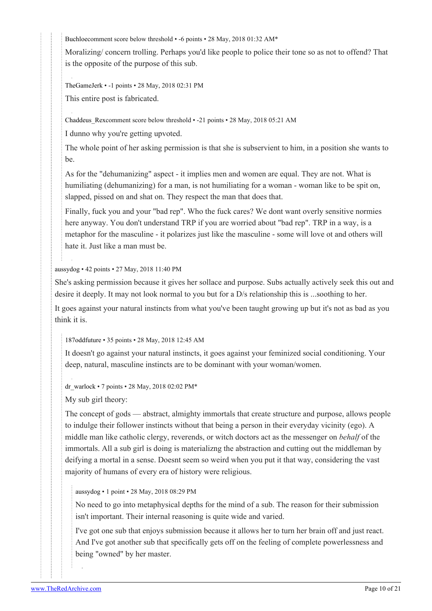[Buchloec](https://old.reddit.com/user/Buchloe)omment score below threshold • -6 points • 28 May, 2018 01:32 AM\*

Moralizing/ concern trolling. Perhaps you'd like people to police their tone so as not to offend? That is the opposite of the purpose of this sub.

[TheGameJerk](https://old.reddit.com/user/TheGameJerk) • -1 points • 28 May, 2018 02:31 PM

This entire post is fabricated.

[Chaddeus\\_Rexc](https://old.reddit.com/user/Chaddeus_Rex)omment score below threshold • -21 points • 28 May, 2018 05:21 AM

I dunno why you're getting upvoted.

The whole point of her asking permission is that she is subservient to him, in a position she wants to be.

As for the "dehumanizing" aspect - it implies men and women are equal. They are not. What is humiliating (dehumanizing) for a man, is not humiliating for a woman - woman like to be spit on, slapped, pissed on and shat on. They respect the man that does that.

Finally, fuck you and your "bad rep". Who the fuck cares? We dont want overly sensitive normies here anyway. You don't understand TRP if you are worried about "bad rep". TRP in a way, is a metaphor for the masculine - it polarizes just like the masculine - some will love ot and others will hate it. Just like a man must be.

#### [aussydog](https://old.reddit.com/user/aussydog) • 42 points • 27 May, 2018 11:40 PM

She's asking permission because it gives her sollace and purpose. Subs actually actively seek this out and desire it deeply. It may not look normal to you but for a D/s relationship this is ...soothing to her.

It goes against your natural instincts from what you've been taught growing up but it's not as bad as you think it is.

#### [187oddfuture](https://old.reddit.com/user/187oddfuture) • 35 points • 28 May, 2018 12:45 AM

It doesn't go against your natural instincts, it goes against your feminized social conditioning. Your deep, natural, masculine instincts are to be dominant with your woman/women.

[dr\\_warlock](https://old.reddit.com/user/dr_warlock) • 7 points • 28 May, 2018 02:02 PM\*

My sub girl theory:

The concept of gods — abstract, almighty immortals that create structure and purpose, allows people to indulge their follower instincts without that being a person in their everyday vicinity (ego). A middle man like catholic clergy, reverends, or witch doctors act as the messenger on *behalf* of the immortals. All a sub girl is doing is materializng the abstraction and cutting out the middleman by deifying a mortal in a sense. Doesnt seem so weird when you put it that way, considering the vast majority of humans of every era of history were religious.

#### [aussydog](https://old.reddit.com/user/aussydog) • 1 point • 28 May, 2018 08:29 PM

No need to go into metaphysical depths for the mind of a sub. The reason for their submission isn't important. Their internal reasoning is quite wide and varied.

I've got one sub that enjoys submission because it allows her to turn her brain off and just react. And I've got another sub that specifically gets off on the feeling of complete powerlessness and being "owned" by her master.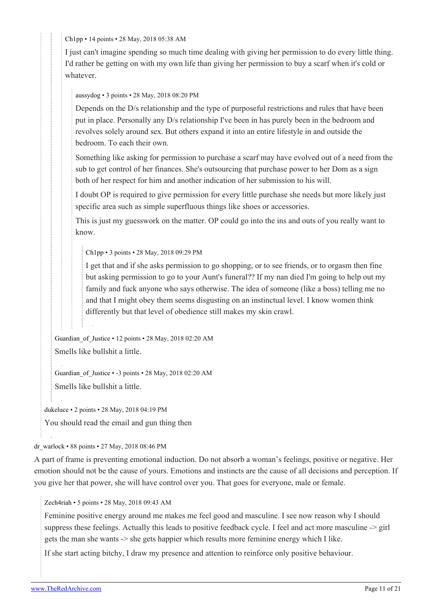[Ch1pp](https://old.reddit.com/user/Ch1pp) • 14 points • 28 May, 2018 05:38 AM

I just can't imagine spending so much time dealing with giving her permission to do every little thing. I'd rather be getting on with my own life than giving her permission to buy a scarf when it's cold or whatever.

[aussydog](https://old.reddit.com/user/aussydog) • 3 points • 28 May, 2018 08:20 PM

Depends on the D/s relationship and the type of purposeful restrictions and rules that have been put in place. Personally any D/s relationship I've been in has purely been in the bedroom and revolves solely around sex. But others expand it into an entire lifestyle in and outside the bedroom. To each their own.

Something like asking for permission to purchase a scarf may have evolved out of a need from the sub to get control of her finances. She's outsourcing that purchase power to her Dom as a sign both of her respect for him and another indication of her submission to his will.

I doubt OP is required to give permission for every little purchase she needs but more likely just specific area such as simple superfluous things like shoes or accessories.

This is just my guesswork on the matter. OP could go into the ins and outs of you really want to know.

[Ch1pp](https://old.reddit.com/user/Ch1pp) • 3 points • 28 May, 2018 09:29 PM

I get that and if she asks permission to go shopping, or to see friends, or to orgasm then fine but asking permission to go to your Aunt's funeral?? If my nan died I'm going to help out my family and fuck anyone who says otherwise. The idea of someone (like a boss) telling me no and that I might obey them seems disgusting on an instinctual level. I know women think differently but that level of obedience still makes my skin crawl.

Guardian of Justice • 12 points • 28 May, 2018 02:20 AM Smells like bullshit a little.

Guardian of Justice • -3 points • 28 May, 2018 02:20 AM Smells like bullshit a little.

[dukeluce](https://old.reddit.com/user/dukeluce) • 2 points • 28 May, 2018 04:19 PM

You should read the email and gun thing then

[dr\\_warlock](https://old.reddit.com/user/dr_warlock) • 88 points • 27 May, 2018 08:46 PM

A part of frame is preventing emotional induction. Do not absorb a woman's feelings, positive or negative. Her emotion should not be the cause of yours. Emotions and instincts are the cause of all decisions and perception. If you give her that power, she will have control over you. That goes for everyone, male or female.

[Zech4riah](https://old.reddit.com/user/Zech4riah) • 5 points • 28 May, 2018 09:43 AM

Feminine positive energy around me makes me feel good and masculine. I see now reason why I should suppress these feelings. Actually this leads to positive feedback cycle. I feel and act more masculine -> girl gets the man she wants -> she gets happier which results more feminine energy which I like.

If she start acting bitchy, I draw my presence and attention to reinforce only positive behaviour.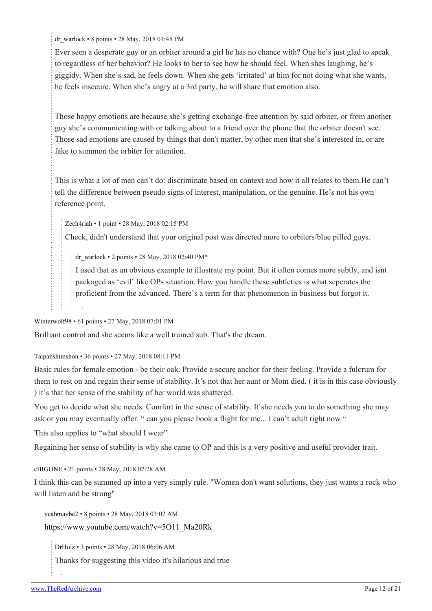[dr\\_warlock](https://old.reddit.com/user/dr_warlock) • 8 points • 28 May, 2018 01:45 PM

Ever seen a desperate guy or an orbiter around a girl he has no chance with? One he's just glad to speak to regardless of her behavior? He looks to her to see how he should feel. When shes laughing, he's giggidy. When she's sad, he feels down. When she gets 'irritated' at him for not doing what she wants, he feels insecure. When she's angry at a 3rd party, he will share that emotion also.

Those happy emotions are because she's getting exchange-free attention by said orbiter, or from another guy she's communicating with or talking about to a friend over the phone that the orbiter doesn't see. Those sad emotions are caused by things that don't matter, by other men that she's interested in, or are fake to summon the orbiter for attention.

This is what a lot of men can't do: discriminate based on context and how it all relates to them.He can't tell the difference between pseudo signs of interest, manipulation, or the genuine. He's not his own reference point.

[Zech4riah](https://old.reddit.com/user/Zech4riah) • 1 point • 28 May, 2018 02:15 PM

Check, didn't understand that your original post was directed more to orbiters/blue pilled guys.

[dr\\_warlock](https://old.reddit.com/user/dr_warlock) • 2 points • 28 May, 2018 02:40 PM\*

I used that as an obvious example to illustrate my point. But it often comes more subtly, and isnt packaged as 'evil' like OPs situation. How you handle these subtleties is what seperates the proficient from the advanced. There's a term for that phenomenon in business but forgot it.

[Winterwolf98](https://old.reddit.com/user/Winterwolf98) • 61 points • 27 May, 2018 07:01 PM

Brilliant control and she seems like a well trained sub. That's the dream.

[Taipanshimshon](https://old.reddit.com/user/Taipanshimshon) • 36 points • 27 May, 2018 08:11 PM

Basic rules for female emotion - be their oak. Provide a secure anchor for their feeling. Provide a fulcrum for them to rest on and regain their sense of stability. It's not that her aunt or Mom died. ( it is in this case obviously ) it's that her sense of the stability of her world was shattered.

You get to decide what she needs. Comfort in the sense of stability. If she needs you to do something she may ask or you may eventually offer. " can you please book a flight for me... I can't adult right now "

This also applies to "what should I wear"

Regaining her sense of stability is why she came to OP and this is a very positive and useful provider trait.

[cBIGONE](https://old.reddit.com/user/cBIGONE) • 21 points • 28 May, 2018 02:28 AM

I think this can be summed up into a very simply rule. "Women don't want solutions, they just wants a rock who will listen and be strong"

[yeahmaybe2](https://old.reddit.com/user/yeahmaybe2) • 8 points • 28 May, 2018 03:02 AM

[https://www.youtube.com/watch?v=5O11\\_Ma20Rk](https://www.youtube.com/watch?v=5O11_Ma20Rk)

[DrHolz](https://old.reddit.com/user/DrHolz) • 3 points • 28 May, 2018 06:06 AM

Thanks for suggesting this video it's hilarious and true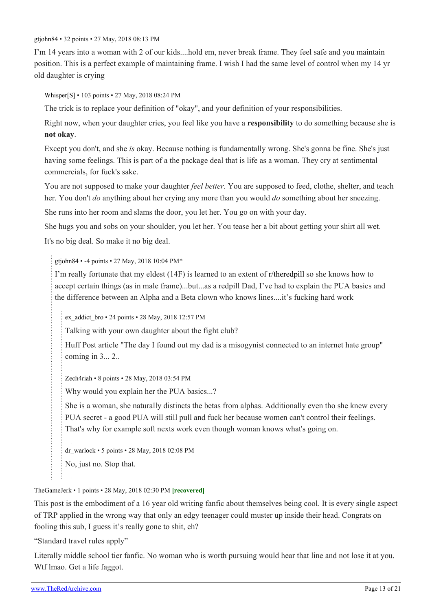[gtjohn84](https://old.reddit.com/user/gtjohn84) • 32 points • 27 May, 2018 08:13 PM

I'm 14 years into a woman with 2 of our kids....hold em, never break frame. They feel safe and you maintain position. This is a perfect example of maintaining frame. I wish I had the same level of control when my 14 yr old daughter is crying

[Whisper\[](https://old.reddit.com/user/Whisper)[S\]](https://theredarchive.com/r/TheRedPill/comments/8mjrkx/tears/) • 103 points • 27 May, 2018 08:24 PM

The trick is to replace your definition of "okay", and your definition of your responsibilities.

Right now, when your daughter cries, you feel like you have a **responsibility** to do something because she is **not okay**.

Except you don't, and she *is* okay. Because nothing is fundamentally wrong. She's gonna be fine. She's just having some feelings. This is part of a the package deal that is life as a woman. They cry at sentimental commercials, for fuck's sake.

You are not supposed to make your daughter *feel better*. You are supposed to feed, clothe, shelter, and teach her. You don't *do* anything about her crying any more than you would *do* something about her sneezing.

She runs into her room and slams the door, you let her. You go on with your day.

She hugs you and sobs on your shoulder, you let her. You tease her a bit about getting your shirt all wet.

It's no big deal. So make it no big deal.

[gtjohn84](https://old.reddit.com/user/gtjohn84) • -4 points • 27 May, 2018 10:04 PM\*

I'm really fortunate that my eldest (14F) is learned to an extent of [r/theredpill](https://theredarchive.com/r/theredpill) so she knows how to accept certain things (as in male frame)...but...as a redpill Dad, I've had to explain the PUA basics and the difference between an Alpha and a Beta clown who knows lines....it's fucking hard work

[ex\\_addict\\_bro](https://old.reddit.com/user/ex_addict_bro) • 24 points • 28 May, 2018 12:57 PM

Talking with your own daughter about the fight club?

Huff Post article "The day I found out my dad is a misogynist connected to an internet hate group" coming in 3... 2..

[Zech4riah](https://old.reddit.com/user/Zech4riah) • 8 points • 28 May, 2018 03:54 PM

Why would you explain her the PUA basics...?

She is a woman, she naturally distincts the betas from alphas. Additionally even tho she knew every PUA secret - a good PUA will still pull and fuck her because women can't control their feelings. That's why for example soft nexts work even though woman knows what's going on.

[dr\\_warlock](https://old.reddit.com/user/dr_warlock) • 5 points • 28 May, 2018 02:08 PM

No, just no. Stop that.

[TheGameJerk](https://old.reddit.com/user/TheGameJerk) • 1 points • 28 May, 2018 02:30 PM **[recovered]**

This post is the embodiment of a 16 year old writing fanfic about themselves being cool. It is every single aspect of TRP applied in the wrong way that only an edgy teenager could muster up inside their head. Congrats on fooling this sub, I guess it's really gone to shit, eh?

"Standard travel rules apply"

Literally middle school tier fanfic. No woman who is worth pursuing would hear that line and not lose it at you. Wtf lmao. Get a life faggot.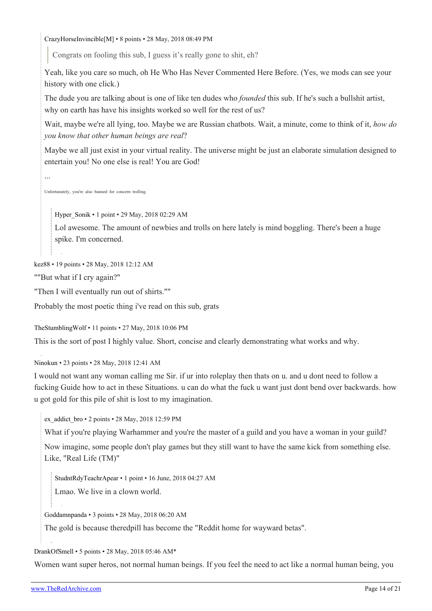[CrazyHorseInvincible\[](https://old.reddit.com/user/CrazyHorseInvincible)[M](https://theredarchive.com/r/TheRedPill/about/moderators)] • 8 points • 28 May, 2018 08:49 PM

Congrats on fooling this sub, I guess it's really gone to shit, eh?

Yeah, like you care so much, oh He Who Has Never Commented Here Before. (Yes, we mods can see your history with one click.)

The dude you are talking about is one of like ten dudes who *founded* this sub. If he's such a bullshit artist, why on earth has have his insights worked so well for the rest of us?

Wait, maybe we're all lying, too. Maybe we are Russian chatbots. Wait, a minute, come to think of it, *how do you know that other human beings are real*?

Maybe we all just exist in your virtual reality. The universe might be just an elaborate simulation designed to entertain you! No one else is real! You are God!

...

Unfortunately, you're also banned for concern trolling.

[Hyper\\_Sonik](https://old.reddit.com/user/Hyper_Sonik) • 1 point • 29 May, 2018 02:29 AM

Lol awesome. The amount of newbies and trolls on here lately is mind boggling. There's been a huge spike. I'm concerned.

[kez88](https://old.reddit.com/user/kez88) • 19 points • 28 May, 2018 12:12 AM

""But what if I cry again?"

"Then I will eventually run out of shirts.""

Probably the most poetic thing i've read on this sub, grats

[TheStumblingWolf](https://old.reddit.com/user/TheStumblingWolf) • 11 points • 27 May, 2018 10:06 PM

This is the sort of post I highly value. Short, concise and clearly demonstrating what works and why.

[Ninokun](https://old.reddit.com/user/Ninokun) • 23 points • 28 May, 2018 12:41 AM

I would not want any woman calling me Sir. if ur into roleplay then thats on u. and u dont need to follow a fucking Guide how to act in these Situations. u can do what the fuck u want just dont bend over backwards. how u got gold for this pile of shit is lost to my imagination.

[ex\\_addict\\_bro](https://old.reddit.com/user/ex_addict_bro) • 2 points • 28 May, 2018 12:59 PM

What if you're playing Warhammer and you're the master of a guild and you have a woman in your guild?

Now imagine, some people don't play games but they still want to have the same kick from something else. Like, "Real Life (TM)"

[StudntRdyTeachrApear](https://old.reddit.com/user/StudntRdyTeachrApear) • 1 point • 16 June, 2018 04:27 AM

Lmao. We live in a clown world.

[Goddamnpanda](https://old.reddit.com/user/Goddamnpanda) • 3 points • 28 May, 2018 06:20 AM

The gold is because theredpill has become the "Reddit home for wayward betas".

#### [DrankOfSmell](https://old.reddit.com/user/DrankOfSmell) • 5 points • 28 May, 2018 05:46 AM\*

Women want super heros, not normal human beings. If you feel the need to act like a normal human being, you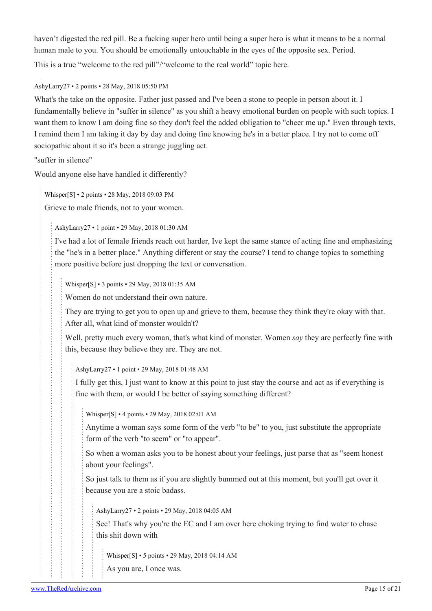haven't digested the red pill. Be a fucking super hero until being a super hero is what it means to be a normal human male to you. You should be emotionally untouchable in the eyes of the opposite sex. Period. This is a true "welcome to the red pill"/"welcome to the real world" topic here.

# [AshyLarry27](https://old.reddit.com/user/AshyLarry27) • 2 points • 28 May, 2018 05:50 PM

What's the take on the opposite. Father just passed and I've been a stone to people in person about it. I fundamentally believe in "suffer in silence" as you shift a heavy emotional burden on people with such topics. I want them to know I am doing fine so they don't feel the added obligation to "cheer me up." Even through texts, I remind them I am taking it day by day and doing fine knowing he's in a better place. I try not to come off sociopathic about it so it's been a strange juggling act.

"suffer in silence"

Would anyone else have handled it differently?

[Whisper\[](https://old.reddit.com/user/Whisper)[S\]](https://theredarchive.com/r/TheRedPill/comments/8mjrkx/tears/) • 2 points • 28 May, 2018 09:03 PM

Grieve to male friends, not to your women.

[AshyLarry27](https://old.reddit.com/user/AshyLarry27) • 1 point • 29 May, 2018 01:30 AM

I've had a lot of female friends reach out harder, Ive kept the same stance of acting fine and emphasizing the "he's in a better place." Anything different or stay the course? I tend to change topics to something more positive before just dropping the text or conversation.

[Whisper](https://old.reddit.com/user/Whisper)[\[S](https://theredarchive.com/r/TheRedPill/comments/8mjrkx/tears/)] • 3 points • 29 May, 2018 01:35 AM

Women do not understand their own nature.

They are trying to get you to open up and grieve to them, because they think they're okay with that. After all, what kind of monster wouldn't?

Well, pretty much every woman, that's what kind of monster. Women *say* they are perfectly fine with this, because they believe they are. They are not.

[AshyLarry27](https://old.reddit.com/user/AshyLarry27) • 1 point • 29 May, 2018 01:48 AM

I fully get this, I just want to know at this point to just stay the course and act as if everything is fine with them, or would I be better of saying something different?

[Whisper\[](https://old.reddit.com/user/Whisper)[S\]](https://theredarchive.com/r/TheRedPill/comments/8mjrkx/tears/) • 4 points • 29 May, 2018 02:01 AM

Anytime a woman says some form of the verb "to be" to you, just substitute the appropriate form of the verb "to seem" or "to appear".

So when a woman asks you to be honest about your feelings, just parse that as "seem honest about your feelings".

So just talk to them as if you are slightly bummed out at this moment, but you'll get over it because you are a stoic badass.

[AshyLarry27](https://old.reddit.com/user/AshyLarry27) • 2 points • 29 May, 2018 04:05 AM

See! That's why you're the EC and I am over here choking trying to find water to chase this shit down with

[Whisper](https://old.reddit.com/user/Whisper)[\[S](https://theredarchive.com/r/TheRedPill/comments/8mjrkx/tears/)] • 5 points • 29 May, 2018 04:14 AM

As you are, I once was.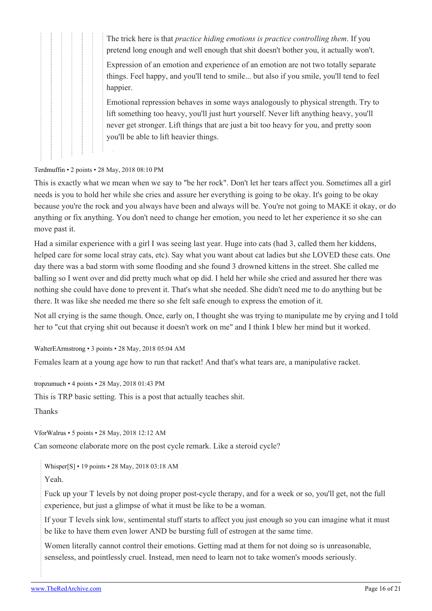The trick here is that *practice hiding emotions is practice controlling them*. If you pretend long enough and well enough that shit doesn't bother you, it actually won't.

Expression of an emotion and experience of an emotion are not two totally separate things. Feel happy, and you'll tend to smile... but also if you smile, you'll tend to feel happier.

Emotional repression behaves in some ways analogously to physical strength. Try to lift something too heavy, you'll just hurt yourself. Never lift anything heavy, you'll never get stronger. Lift things that are just a bit too heavy for you, and pretty soon you'll be able to lift heavier things.

#### [Terdmuffin](https://old.reddit.com/user/Terdmuffin) • 2 points • 28 May, 2018 08:10 PM

This is exactly what we mean when we say to "be her rock". Don't let her tears affect you. Sometimes all a girl needs is you to hold her while she cries and assure her everything is going to be okay. It's going to be okay because you're the rock and you always have been and always will be. You're not going to MAKE it okay, or do anything or fix anything. You don't need to change her emotion, you need to let her experience it so she can move past it.

Had a similar experience with a girl I was seeing last year. Huge into cats (had 3, called them her kiddens, helped care for some local stray cats, etc). Say what you want about cat ladies but she LOVED these cats. One day there was a bad storm with some flooding and she found 3 drowned kittens in the street. She called me balling so I went over and did pretty much what op did. I held her while she cried and assured her there was nothing she could have done to prevent it. That's what she needed. She didn't need me to do anything but be there. It was like she needed me there so she felt safe enough to express the emotion of it.

Not all crying is the same though. Once, early on, I thought she was trying to manipulate me by crying and I told her to "cut that crying shit out because it doesn't work on me" and I think I blew her mind but it worked.

[WalterEArmstrong](https://old.reddit.com/user/WalterEArmstrong) • 3 points • 28 May, 2018 05:04 AM

Females learn at a young age how to run that racket! And that's what tears are, a manipulative racket.

[tropzumuch](https://old.reddit.com/user/tropzumuch) • 4 points • 28 May, 2018 01:43 PM

This is TRP basic setting. This is a post that actually teaches shit.

Thanks

[VforWalrus](https://old.reddit.com/user/VforWalrus) • 5 points • 28 May, 2018 12:12 AM

Can someone elaborate more on the post cycle remark. Like a steroid cycle?

[Whisper\[](https://old.reddit.com/user/Whisper)[S\]](https://theredarchive.com/r/TheRedPill/comments/8mjrkx/tears/) • 19 points • 28 May, 2018 03:18 AM

Yeah.

Fuck up your T levels by not doing proper post-cycle therapy, and for a week or so, you'll get, not the full experience, but just a glimpse of what it must be like to be a woman.

If your T levels sink low, sentimental stuff starts to affect you just enough so you can imagine what it must be like to have them even lower AND be bursting full of estrogen at the same time.

Women literally cannot control their emotions. Getting mad at them for not doing so is unreasonable, senseless, and pointlessly cruel. Instead, men need to learn not to take women's moods seriously.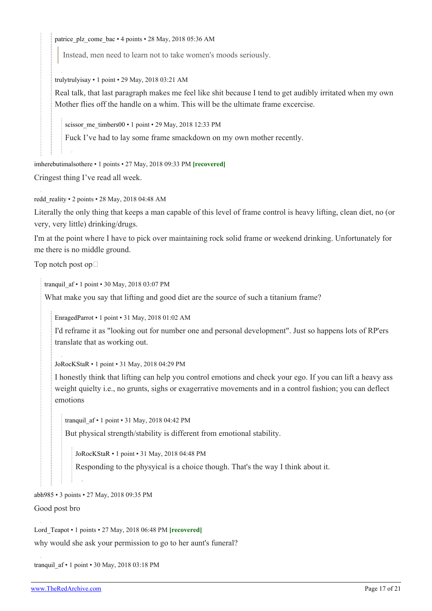[patrice\\_plz\\_come\\_bac](https://old.reddit.com/user/patrice_plz_come_bac) • 4 points • 28 May, 2018 05:36 AM

Instead, men need to learn not to take women's moods seriously.

[trulytrulyisay](https://old.reddit.com/user/trulytrulyisay) • 1 point • 29 May, 2018 03:21 AM

Real talk, that last paragraph makes me feel like shit because I tend to get audibly irritated when my own Mother flies off the handle on a whim. This will be the ultimate frame excercise.

[scissor\\_me\\_timbers00](https://old.reddit.com/user/scissor_me_timbers00) • 1 point • 29 May, 2018 12:33 PM

Fuck I've had to lay some frame smackdown on my own mother recently.

[imherebutimalsothere](https://old.reddit.com/user/imherebutimalsothere) • 1 points • 27 May, 2018 09:33 PM **[recovered]**

Cringest thing I've read all week.

[redd\\_reality](https://old.reddit.com/user/redd_reality) • 2 points • 28 May, 2018 04:48 AM

Literally the only thing that keeps a man capable of this level of frame control is heavy lifting, clean diet, no (or very, very little) drinking/drugs.

I'm at the point where I have to pick over maintaining rock solid frame or weekend drinking. Unfortunately for me there is no middle ground.

Top notch post op

[tranquil\\_af](https://old.reddit.com/user/tranquil_af) • 1 point • 30 May, 2018 03:07 PM

What make you say that lifting and good diet are the source of such a titanium frame?

[EnragedParrot](https://old.reddit.com/user/EnragedParrot) • 1 point • 31 May, 2018 01:02 AM

I'd reframe it as "looking out for number one and personal development". Just so happens lots of RP'ers translate that as working out.

[JoRocKStaR](https://old.reddit.com/user/JoRocKStaR) • 1 point • 31 May, 2018 04:29 PM

I honestly think that lifting can help you control emotions and check your ego. If you can lift a heavy ass weight quielty i.e., no grunts, sighs or exagerrative movements and in a control fashion; you can deflect emotions

[tranquil\\_af](https://old.reddit.com/user/tranquil_af) • 1 point • 31 May, 2018 04:42 PM

But physical strength/stability is different from emotional stability.

[JoRocKStaR](https://old.reddit.com/user/JoRocKStaR) • 1 point • 31 May, 2018 04:48 PM

Responding to the physyical is a choice though. That's the way I think about it.

[abh985](https://old.reddit.com/user/abh985) • 3 points • 27 May, 2018 09:35 PM

Good post bro

[Lord\\_Teapot](https://old.reddit.com/user/Lord_Teapot) • 1 points • 27 May, 2018 06:48 PM **[recovered]** why would she ask your permission to go to her aunt's funeral?

[tranquil\\_af](https://old.reddit.com/user/tranquil_af) • 1 point • 30 May, 2018 03:18 PM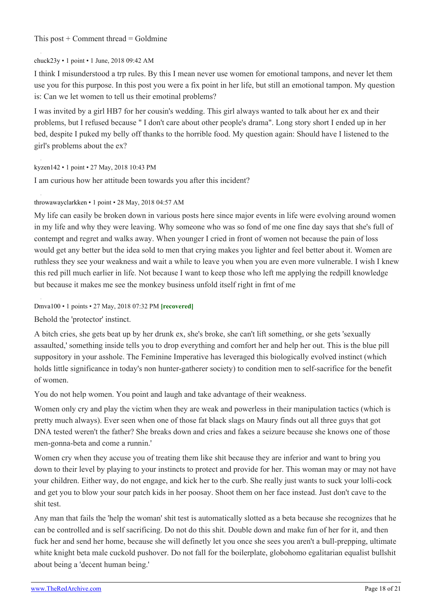## This post  $+$  Comment thread  $=$  Goldmine

## [chuck23y](https://old.reddit.com/user/chuck23y) • 1 point • 1 June, 2018 09:42 AM

I think I misunderstood a trp rules. By this I mean never use women for emotional tampons, and never let them use you for this purpose. In this post you were a fix point in her life, but still an emotional tampon. My question is: Can we let women to tell us their emotinal problems?

I was invited by a girl HB7 for her cousin's wedding. This girl always wanted to talk about her ex and their problems, but I refused because " I don't care about other people's drama". Long story short I ended up in her bed, despite I puked my belly off thanks to the horrible food. My question again: Should have I listened to the girl's problems about the ex?

#### [kyzen142](https://old.reddit.com/user/kyzen142) • 1 point • 27 May, 2018 10:43 PM

I am curious how her attitude been towards you after this incident?

## [throwawayclarkken](https://old.reddit.com/user/throwawayclarkken) • 1 point • 28 May, 2018 04:57 AM

My life can easily be broken down in various posts here since major events in life were evolving around women in my life and why they were leaving. Why someone who was so fond of me one fine day says that she's full of contempt and regret and walks away. When younger I cried in front of women not because the pain of loss would get any better but the idea sold to men that crying makes you lighter and feel better about it. Women are ruthless they see your weakness and wait a while to leave you when you are even more vulnerable. I wish I knew this red pill much earlier in life. Not because I want to keep those who left me applying the redpill knowledge but because it makes me see the monkey business unfold itself right in frnt of me

### [Dmva100](https://old.reddit.com/user/Dmva100) • 1 points • 27 May, 2018 07:32 PM **[recovered]**

Behold the 'protector' instinct.

A bitch cries, she gets beat up by her drunk ex, she's broke, she can't lift something, or she gets 'sexually assaulted,' something inside tells you to drop everything and comfort her and help her out. This is the blue pill suppository in your asshole. The Feminine Imperative has leveraged this biologically evolved instinct (which holds little significance in today's non hunter-gatherer society) to condition men to self-sacrifice for the benefit of women.

You do not help women. You point and laugh and take advantage of their weakness.

Women only cry and play the victim when they are weak and powerless in their manipulation tactics (which is pretty much always). Ever seen when one of those fat black slags on Maury finds out all three guys that got DNA tested weren't the father? She breaks down and cries and fakes a seizure because she knows one of those men-gonna-beta and come a runnin.'

Women cry when they accuse you of treating them like shit because they are inferior and want to bring you down to their level by playing to your instincts to protect and provide for her. This woman may or may not have your children. Either way, do not engage, and kick her to the curb. She really just wants to suck your lolli-cock and get you to blow your sour patch kids in her poosay. Shoot them on her face instead. Just don't cave to the shit test.

Any man that fails the 'help the woman' shit test is automatically slotted as a beta because she recognizes that he can be controlled and is self sacrificing. Do not do this shit. Double down and make fun of her for it, and then fuck her and send her home, because she will definetly let you once she sees you aren't a bull-prepping, ultimate white knight beta male cuckold pushover. Do not fall for the boilerplate, globohomo egalitarian equalist bullshit about being a 'decent human being.'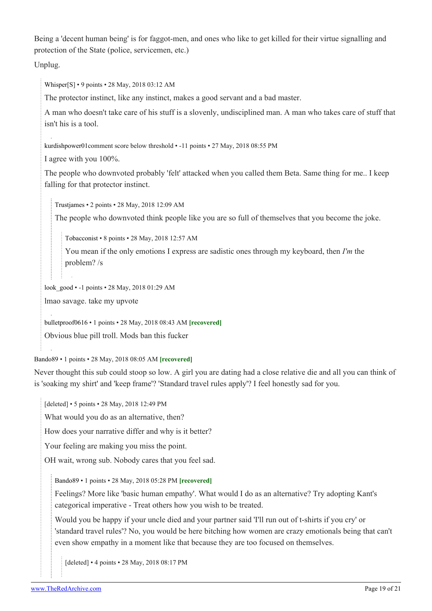Being a 'decent human being' is for faggot-men, and ones who like to get killed for their virtue signalling and protection of the State (police, servicemen, etc.)

Unplug.

[Whisper\[](https://old.reddit.com/user/Whisper)[S\]](https://theredarchive.com/r/TheRedPill/comments/8mjrkx/tears/) • 9 points • 28 May, 2018 03:12 AM

The protector instinct, like any instinct, makes a good servant and a bad master.

A man who doesn't take care of his stuff is a slovenly, undisciplined man. A man who takes care of stuff that isn't his is a tool.

[kurdishpower01](https://old.reddit.com/user/kurdishpower01)comment score below threshold • -11 points • 27 May, 2018 08:55 PM

I agree with you 100%.

The people who downvoted probably 'felt' attacked when you called them Beta. Same thing for me.. I keep falling for that protector instinct.

[Trustjames](https://old.reddit.com/user/Trustjames) • 2 points • 28 May, 2018 12:09 AM

The people who downvoted think people like you are so full of themselves that you become the joke.

[Tobacconist](https://old.reddit.com/user/Tobacconist) • 8 points • 28 May, 2018 12:57 AM

You mean if the only emotions I express are sadistic ones through my keyboard, then *I'm* the problem? /s

[look\\_good](https://old.reddit.com/user/look_good) • -1 points • 28 May, 2018 01:29 AM

lmao savage. take my upvote

[bulletproof0616](https://old.reddit.com/user/bulletproof0616) • 1 points • 28 May, 2018 08:43 AM **[recovered]**

Obvious blue pill troll. Mods ban this fucker

[Bando89](https://old.reddit.com/user/Bando89) • 1 points • 28 May, 2018 08:05 AM **[recovered]**

Never thought this sub could stoop so low. A girl you are dating had a close relative die and all you can think of is 'soaking my shirt' and 'keep frame'? 'Standard travel rules apply'? I feel honestly sad for you.

[deleted] • 5 points • 28 May, 2018 12:49 PM

What would you do as an alternative, then?

How does your narrative differ and why is it better?

Your feeling are making you miss the point.

OH wait, wrong sub. Nobody cares that you feel sad.

[Bando89](https://old.reddit.com/user/Bando89) • 1 points • 28 May, 2018 05:28 PM **[recovered]**

Feelings? More like 'basic human empathy'. What would I do as an alternative? Try adopting Kant's categorical imperative - Treat others how you wish to be treated.

Would you be happy if your uncle died and your partner said 'I'll run out of t-shirts if you cry' or 'standard travel rules'? No, you would be here bitching how women are crazy emotionals being that can't even show empathy in a moment like that because they are too focused on themselves.

[deleted] • 4 points • 28 May, 2018 08:17 PM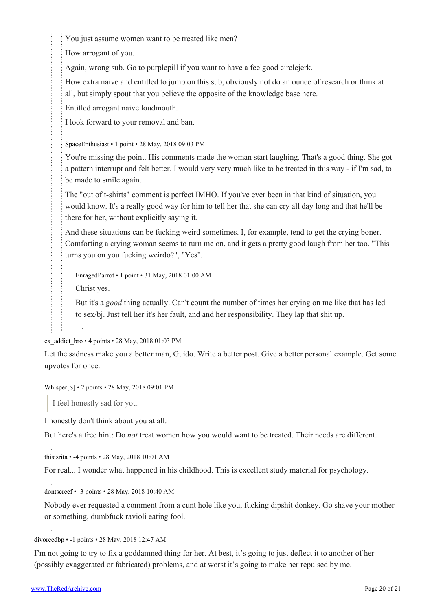You just assume women want to be treated like men?

How arrogant of you.

Again, wrong sub. Go to purplepill if you want to have a feelgood circlejerk.

How extra naive and entitled to jump on this sub, obviously not do an ounce of research or think at all, but simply spout that you believe the opposite of the knowledge base here.

Entitled arrogant naive loudmouth.

I look forward to your removal and ban.

[SpaceEnthusiast](https://old.reddit.com/user/SpaceEnthusiast) • 1 point • 28 May, 2018 09:03 PM

You're missing the point. His comments made the woman start laughing. That's a good thing. She got a pattern interrupt and felt better. I would very very much like to be treated in this way - if I'm sad, to be made to smile again.

The "out of t-shirts" comment is perfect IMHO. If you've ever been in that kind of situation, you would know. It's a really good way for him to tell her that she can cry all day long and that he'll be there for her, without explicitly saying it.

And these situations can be fucking weird sometimes. I, for example, tend to get the crying boner. Comforting a crying woman seems to turn me on, and it gets a pretty good laugh from her too. "This turns you on you fucking weirdo?", "Yes".

[EnragedParrot](https://old.reddit.com/user/EnragedParrot) • 1 point • 31 May, 2018 01:00 AM

Christ yes.

But it's a *good* thing actually. Can't count the number of times her crying on me like that has led to sex/bj. Just tell her it's her fault, and and her responsibility. They lap that shit up.

[ex\\_addict\\_bro](https://old.reddit.com/user/ex_addict_bro) • 4 points • 28 May, 2018 01:03 PM

Let the sadness make you a better man, Guido. Write a better post. Give a better personal example. Get some upvotes for once.

[Whisper\[](https://old.reddit.com/user/Whisper)[S\]](https://theredarchive.com/r/TheRedPill/comments/8mjrkx/tears/) • 2 points • 28 May, 2018 09:01 PM

I feel honestly sad for you.

I honestly don't think about you at all.

But here's a free hint: Do *not* treat women how you would want to be treated. Their needs are different.

[thisisrita](https://old.reddit.com/user/thisisrita) • -4 points • 28 May, 2018 10:01 AM

For real... I wonder what happened in his childhood. This is excellent study material for psychology.

[dontscreef](https://old.reddit.com/user/dontscreef) • -3 points • 28 May, 2018 10:40 AM

Nobody ever requested a comment from a cunt hole like you, fucking dipshit donkey. Go shave your mother or something, dumbfuck ravioli eating fool.

# [divorcedbp](https://old.reddit.com/user/divorcedbp) • -1 points • 28 May, 2018 12:47 AM

I'm not going to try to fix a goddamned thing for her. At best, it's going to just deflect it to another of her (possibly exaggerated or fabricated) problems, and at worst it's going to make her repulsed by me.